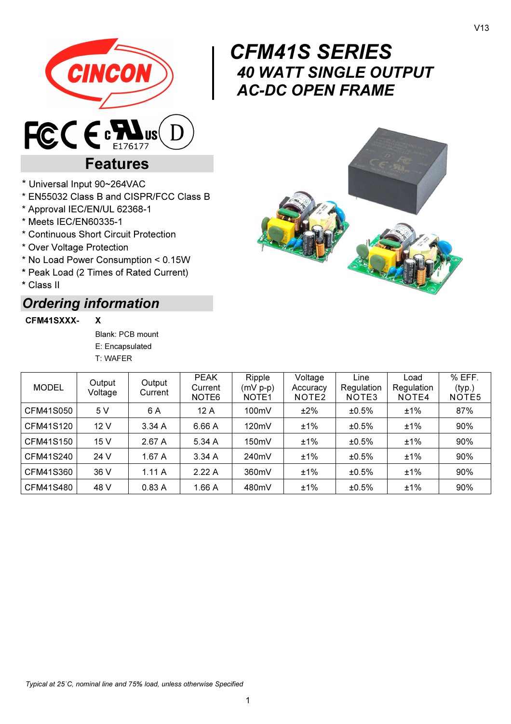

# CFM41S SERIES 40 WATT SINGLE OUTPUT AC-DC OPEN FRAME



## \* Universal Input 90~264VAC

\* EN55032 Class B and CISPR/FCC Class B

Features

- \* Approval IEC/EN/UL 62368-1
- \* Meets IEC/EN60335-1
- \* Continuous Short Circuit Protection
- \* Over Voltage Protection
- \* No Load Power Consumption < 0.15W
- \* Peak Load (2 Times of Rated Current)
- \* Class II

## Ordering information

#### CFM41SXXX- X

Blank: PCB mount E: Encapsulated T: WAFER

| <b>MODEL</b> | Output<br>Voltage | Output<br>Current | <b>PEAK</b><br>Current<br>NOTE6 | Ripple<br>$(mV p-p)$<br>NOTE <sub>1</sub> | Voltage<br>Accuracy<br>NOTE <sub>2</sub> | Line<br>Regulation<br>NOTE3 | Load<br>Regulation<br>NOTE4 | % EFF.<br>(typ.)<br>NOTE <sub>5</sub> |
|--------------|-------------------|-------------------|---------------------------------|-------------------------------------------|------------------------------------------|-----------------------------|-----------------------------|---------------------------------------|
| CFM41S050    | 5 V               | 6 A               | 12 A                            | 100mV                                     | ±2%                                      | ±0.5%                       | ±1%                         | 87%                                   |
| CFM41S120    | 12 <sub>V</sub>   | 3.34A             | 6.66 A                          | 120mV                                     | ±1%                                      | ±0.5%                       | ±1%                         | 90%                                   |
| CFM41S150    | 15 V              | 2.67A             | 5.34 A                          | 150mV                                     | ±1%                                      | ±0.5%                       | ±1%                         | 90%                                   |
| CFM41S240    | 24 V              | 1.67 A            | 3.34A                           | 240mV                                     | ±1%                                      | ±0.5%                       | ±1%                         | 90%                                   |
| CFM41S360    | 36 V              | 1.11A             | 2.22A                           | 360mV                                     | ±1%                                      | ±0.5%                       | ±1%                         | 90%                                   |
| CFM41S480    | 48 V              | 0.83A             | 1.66A                           | 480mV                                     | ±1%                                      | ±0.5%                       | ±1%                         | 90%                                   |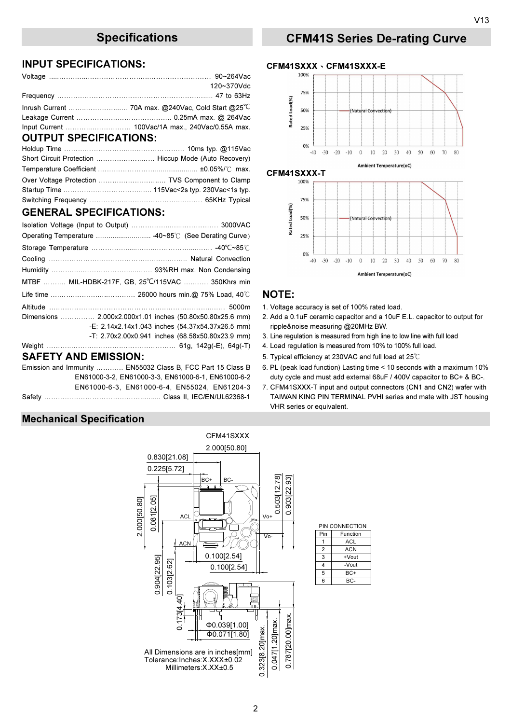#### INPUT SPECIFICATIONS:

|                               | 120~370Vdc |
|-------------------------------|------------|
|                               |            |
|                               |            |
|                               |            |
|                               |            |
| <b>OUTPUT SPECIFICATIONS:</b> |            |

| Over Voltage Protection  TVS Component to Clamp |
|-------------------------------------------------|
|                                                 |
|                                                 |

### GENERAL SPECIFICATIONS:

|                             |                                                      | Rated        |
|-----------------------------|------------------------------------------------------|--------------|
|                             |                                                      |              |
|                             |                                                      |              |
|                             |                                                      |              |
|                             |                                                      |              |
|                             | MTBF  MIL-HDBK-217F, GB, 25°C/115VAC  350Khrs min    |              |
|                             |                                                      | <b>NOTE:</b> |
|                             |                                                      | 1. Voltage   |
|                             |                                                      | 2. Add a 0   |
|                             | -E: $2.14x2.14x1.043$ inches $(54.37x54.37x26.5$ mm) | ripple&n     |
|                             | -T: 2.70x2.00x0.941 inches (68.58x50.80x23.9 mm)     | 3. Line regi |
|                             |                                                      | 4. Load re   |
| <b>SAFETY AND EMISSION:</b> |                                                      | 5. Typical   |

Emission and Immunity ………… EN55032 Class B, FCC Part 15 Class B 6. PL (peak load function) Lasting time < 10 seconds with a maximum 10%

### Mechanical Specification



#### -Vout +Vout PIN CONNECTION  $\overline{1}$ 2 3 4 5 6 **Function** ACL **ACN** Pin B<sub>C</sub>  $BC+$

## Specifications CFM41S Series De-rating Curve

#### CFM41SXXX、CFM41SXXX-E



- 1. Voltage accuracy is set of 100% rated load.
- 2. Add a 0.1uF ceramic capacitor and a 10uF E.L. capacitor to output for ripple&noise measuring @20MHz BW.
- 3. Line regulation is measured from high line to low line with full load
- 4. Load regulation is measured from 10% to 100% full load.
- 5. Typical efficiency at 230VAC and full load at 25℃
- EN61000-3-2, EN61000-3-3, EN61000-6-1, EN61000-6-2 duty cycle and must add external 68uF / 400V capacitor to BC+ & BC-.
- EN61000-6-3, EN61000-6-4, EN55024, EN61204-3 7. CFM41SXXX-T input and output connectors (CN1 and CN2) wafer with Safety ……………………………………..…..... Class II, IEC/EN/UL62368-1 TAIWAN KING PIN TERMINAL PVHI series and mate with JST housing VHR series or equivalent.